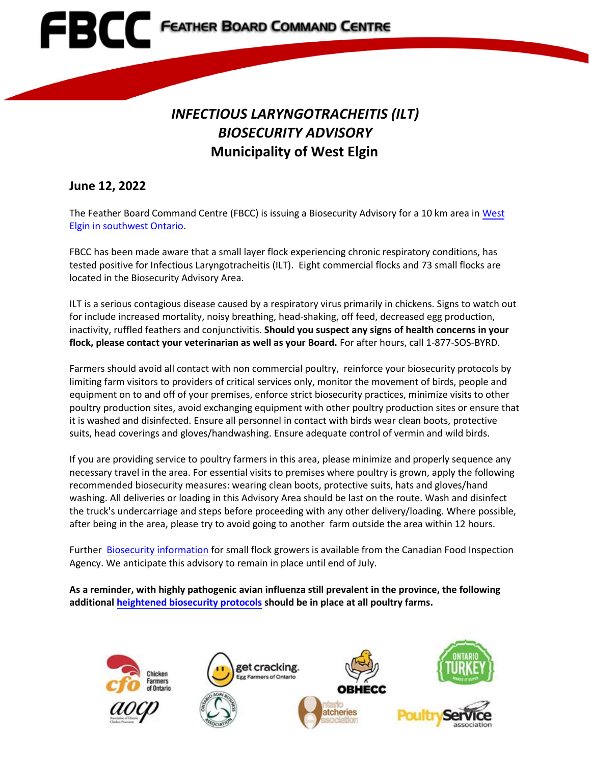

## *INFECTIOUS LARYNGOTRACHEITIS (ILT) BIOSECURITY ADVISORY*  **Municipality of West Elgin**

## **June 12, 2022**

The Feather Board Command Centre (FBCC) is issuing a Biosecurity Advisory for a 10 km area i[n West](https://www.fbcc.ca/ilt-west-elgin/public-map) [Elgin in southwest Ontario.](https://www.fbcc.ca/ilt-west-elgin/public-map)

FBCC has been made aware that a small layer flock experiencing chronic respiratory conditions, has tested positive for Infectious Laryngotracheitis (ILT). Eight commercial flocks and 73 small flocks are located in the Biosecurity Advisory Area.

ILT is a serious contagious disease caused by a respiratory virus primarily in chickens. Signs to watch out for include increased mortality, noisy breathing, head-shaking, off feed, decreased egg production, inactivity, ruffled feathers and conjunctivitis. **Should you suspect any signs of health concerns in your flock, please contact your veterinarian as well as your Board.** For after hours, call 1-877-SOS-BYRD.

Farmers should avoid all contact with non commercial poultry, reinforce your biosecurity protocols by limiting farm visitors to providers of critical services only, monitor the movement of birds, people and equipment on to and off of your premises, enforce strict biosecurity practices, minimize visits to other poultry production sites, avoid exchanging equipment with other poultry production sites or ensure that it is washed and disinfected. Ensure all personnel in contact with birds wear clean boots, protective suits, head coverings and gloves/handwashing. Ensure adequate control of vermin and wild birds.

If you are providing service to poultry farmers in this area, please minimize and properly sequence any necessary travel in the area. For essential visits to premises where poultry is grown, apply the following recommended biosecurity measures: wearing clean boots, protective suits, hats and gloves/hand washing. All deliveries or loading in this Advisory Area should be last on the route. Wash and disinfect the truck's undercarriage and steps before proceeding with any other delivery/loading. Where possible, after being in the area, please try to avoid going to another farm outside the area within 12 hours.

Further [Biosecurity information](http://www.inspection.gc.ca/animals/terrestrial-animals/diseases/bird-health-basics/eng/1323643634523/1323644740109) for small flock growers is available from the Canadian Food Inspection Agency. We anticipate this advisory to remain in place until end of July.

**As a reminder, with highly pathogenic avian influenza still prevalent in the province, the following additional [heightened biosecurity protocols](https://www.familyfoodgrower.ca/family-food/images/FBCC_March-26_2022_Provincial-Advisory.pdf?ext=.pdf) should be in place at all poultry farms.**